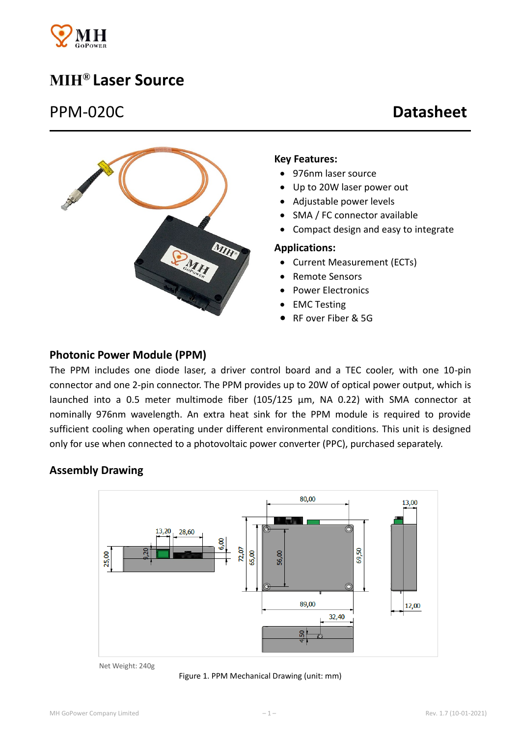

# **MIH® Laser Source**

## PPM-020C **Datasheet**



#### **Key Features:**

- 976nm laser source
- Up to 20W laser power out
- Adjustable power levels
- SMA / FC connector available
- Compact design and easy to integrate

#### **Applications:**

- Current Measurement (ECTs)
- Remote Sensors
- Power Electronics
- EMC Testing
- RF over Fiber & 5G

#### **Photonic Power Module (PPM)**

The PPM includes one diode laser, a driver control board and a TEC cooler, with one 10-pin connector and one 2-pin connector. The PPM provides up to 20W of optical power output, which is launched into a 0.5 meter multimode fiber (105/125 μm, NA 0.22) with SMA connector at nominally 976nm wavelength. An extra heat sink for the PPM module is required to provide sufficient cooling when operating under different environmental conditions. This unit is designed only for use when connected to a photovoltaic power converter (PPC), purchased separately.

#### **Assembly Drawing**



Net Weight: 240g

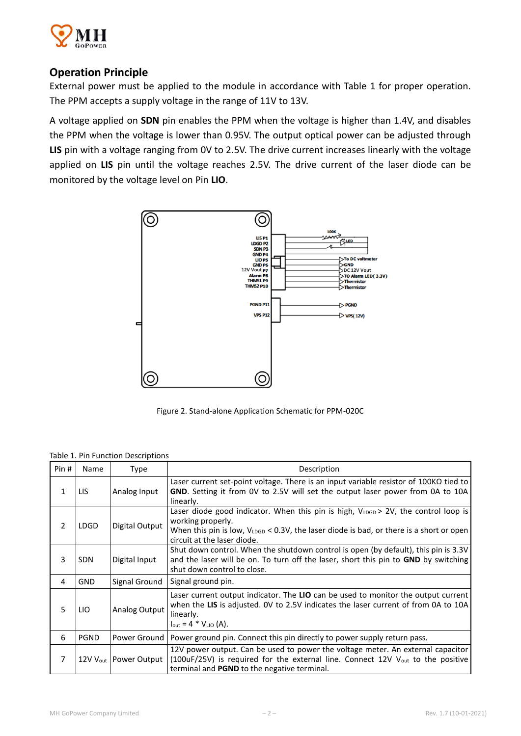

## **Operation Principle**

External power must be applied to the module in accordance with Table 1 for proper operation. The PPM accepts a supply voltage in the range of 11V to 13V.

A voltage applied on **SDN** pin enables the PPM when the voltage is higher than 1.4V, and disables the PPM when the voltage is lower than 0.95V. The output optical power can be adjusted through **LIS** pin with a voltage ranging from 0V to 2.5V. The drive current increases linearly with the voltage applied on **LIS** pin until the voltage reaches 2.5V. The drive current of the laser diode can be monitored by the voltage level on Pin **LIO**.



Figure 2. Stand-alone Application Schematic for PPM-020C

Table 1. Pin Function Descriptions

| Pin #          | Name        | Type                                | Description                                                                                                                                                                                                                                   |  |  |  |
|----------------|-------------|-------------------------------------|-----------------------------------------------------------------------------------------------------------------------------------------------------------------------------------------------------------------------------------------------|--|--|--|
| 1              | LIS         | Analog Input                        | Laser current set-point voltage. There is an input variable resistor of $100K\Omega$ tied to<br>GND. Setting it from OV to 2.5V will set the output laser power from 0A to 10A<br>linearly.                                                   |  |  |  |
| $\mathfrak{p}$ | <b>LDGD</b> | Digital Output                      | Laser diode good indicator. When this pin is high, VLDGD > 2V, the control loop is<br>working properly.<br>When this pin is low, $V_{\text{LDGD}}$ < 0.3V, the laser diode is bad, or there is a short or open<br>circuit at the laser diode. |  |  |  |
| 3              | <b>SDN</b>  | Digital Input                       | Shut down control. When the shutdown control is open (by default), this pin is 3.3V<br>and the laser will be on. To turn off the laser, short this pin to <b>GND</b> by switching<br>shut down control to close.                              |  |  |  |
| 4              | <b>GND</b>  | Signal Ground                       | Signal ground pin.                                                                                                                                                                                                                            |  |  |  |
| 5              | <b>LIO</b>  | Analog Output                       | Laser current output indicator. The LIO can be used to monitor the output current<br>when the LIS is adjusted. OV to 2.5V indicates the laser current of from 0A to 10A<br>linearly.<br>$I_{\text{out}} = 4 * V_{\text{LIO}} (A)$ .           |  |  |  |
| 6              | PGND        | Power Ground                        | Power ground pin. Connect this pin directly to power supply return pass.                                                                                                                                                                      |  |  |  |
| 7              |             | 12V V <sub>out</sub>   Power Output | 12V power output. Can be used to power the voltage meter. An external capacitor<br>(100uF/25V) is required for the external line. Connect 12V V <sub>out</sub> to the positive<br>terminal and <b>PGND</b> to the negative terminal.          |  |  |  |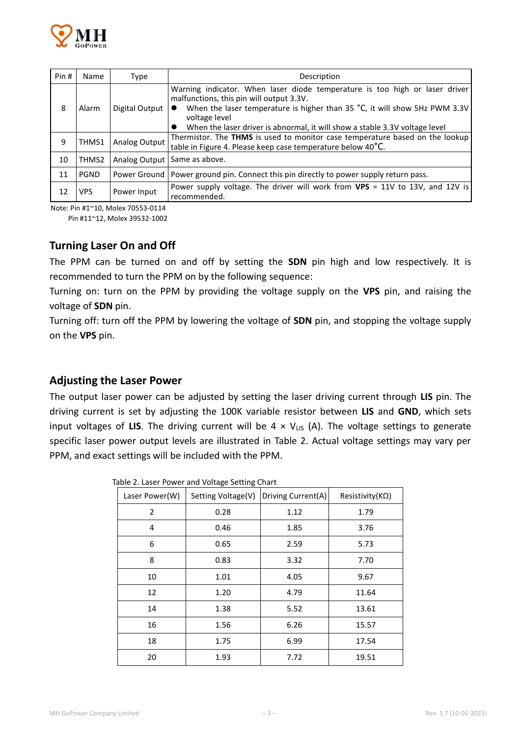

| Pin# | Name        | Type           | Description                                                                                                                                                                                                                                                                                                     |  |  |  |  |
|------|-------------|----------------|-----------------------------------------------------------------------------------------------------------------------------------------------------------------------------------------------------------------------------------------------------------------------------------------------------------------|--|--|--|--|
| 8    | Alarm       | Digital Output | Warning indicator. When laser diode temperature is too high or laser driver<br>malfunctions, this pin will output 3.3V.<br>When the laser temperature is higher than 35 $^{\circ}$ C, it will show 5Hz PWM 3.3V<br>voltage level<br>When the laser driver is abnormal, it will show a stable 3.3V voltage level |  |  |  |  |
| 9    | THMS1       | Analog Output  | Thermistor. The THMS is used to monitor case temperature based on the lookup<br>table in Figure 4. Please keep case temperature below 40°C.                                                                                                                                                                     |  |  |  |  |
| 10   | THMS2       |                | Analog Output   Same as above.                                                                                                                                                                                                                                                                                  |  |  |  |  |
| 11   | <b>PGND</b> |                | Power Ground   Power ground pin. Connect this pin directly to power supply return pass.                                                                                                                                                                                                                         |  |  |  |  |
| 12   | <b>VPS</b>  | Power Input    | Power supply voltage. The driver will work from VPS = 11V to 13V, and 12V is<br>recommended.                                                                                                                                                                                                                    |  |  |  |  |

Note: Pin #1~10, Molex 70553-0114

Pin #11~12, Molex 39532-1002

#### **Turning Laser On and Off**

The PPM can be turned on and off by setting the **SDN** pin high and low respectively. It is recommended to turn the PPM on by the following sequence:

Turning on: turn on the PPM by providing the voltage supply on the **VPS** pin, and raising the voltage of **SDN** pin.

Turning off: turn off the PPM by lowering the voltage of **SDN** pin, and stopping the voltage supply on the **VPS** pin.

#### **Adjusting the Laser Power**

The output laser power can be adjusted by setting the laser driving current through **LIS** pin. The driving current is set by adjusting the 100K variable resistor between **LIS** and **GND**, which sets input voltages of LIS. The driving current will be  $4 \times V_{LS}$  (A). The voltage settings to generate specific laser power output levels are illustrated in Table 2. Actual voltage settings may vary per PPM, and exact settings will be included with the PPM.

| Laser Power(W) | Setting Voltage(V) | Driving Current(A) | Resistivity( $K\Omega$ ) |
|----------------|--------------------|--------------------|--------------------------|
| $\overline{2}$ | 0.28               | 1.12               | 1.79                     |
| 4              | 0.46               | 1.85               | 3.76                     |
| 6              | 0.65               | 2.59               | 5.73                     |
| 8              | 0.83               | 3.32               | 7.70                     |
| 10             | 1.01               | 4.05               | 9.67                     |
| 12             | 1.20               | 4.79               | 11.64                    |
| 14             | 1.38               | 5.52               | 13.61                    |
| 16             | 1.56               | 6.26               | 15.57                    |
| 18             | 1.75               | 6.99               | 17.54                    |
| 20             | 1.93               | 7.72               | 19.51                    |

Table 2. Laser Power and Voltage Setting Chart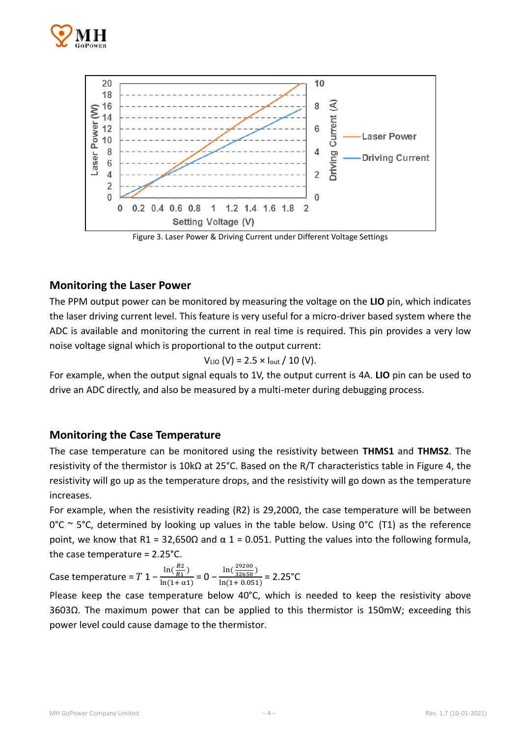



Figure 3. Laser Power & Driving Current under Different Voltage Settings

### **Monitoring the Laser Power**

The PPM output power can be monitored by measuring the voltage on the **LIO** pin, which indicates the laser driving current level. This feature is very useful for a micro-driver based system where the ADC is available and monitoring the current in real time is required. This pin provides a very low noise voltage signal which is proportional to the output current:

$$
V_{LIO} (V) = 2.5 \times I_{out} / 10 (V).
$$

For example, when the output signal equals to 1V, the output current is 4A. **LIO** pin can be used to drive an ADC directly, and also be measured by a multi-meter during debugging process.

#### **Monitoring the Case Temperature**

The case temperature can be monitored using the resistivity between **THMS1** and **THMS2**. The resistivity of the thermistor is 10kΩ at 25°C. Based on the R/T characteristics table in Figure 4, the resistivity will go up as the temperature drops, and the resistivity will go down as the temperature increases.

For example, when the resistivity reading (R2) is 29,200 $\Omega$ , the case temperature will be between  $0^{\circ}$ C ~ 5<sup>o</sup>C, determined by looking up values in the table below. Using  $0^{\circ}$ C (T1) as the reference point, we know that R1 = 32,650Ω and  $\alpha$  1 = 0.051. Putting the values into the following formula, the case temperature = 2.25°C.

Case temperature =  $T$  1 –  $\frac{\ln(\frac{R2}{R1})}{\ln(1+\epsilon)}$  $\frac{R_{2}}{R_{1}})$  $\frac{\ln(\frac{R2}{R1})}{\ln(1+\alpha1)} = 0 - \frac{\ln(\frac{29200}{32650})}{\ln(1+0.051)}$  $\frac{12650^6}{\ln(1+0.051)} = 2.25^{\circ}C$ 

Please keep the case temperature below 40°C, which is needed to keep the resistivity above 3603Ω. The maximum power that can be applied to this thermistor is 150mW; exceeding this power level could cause damage to the thermistor.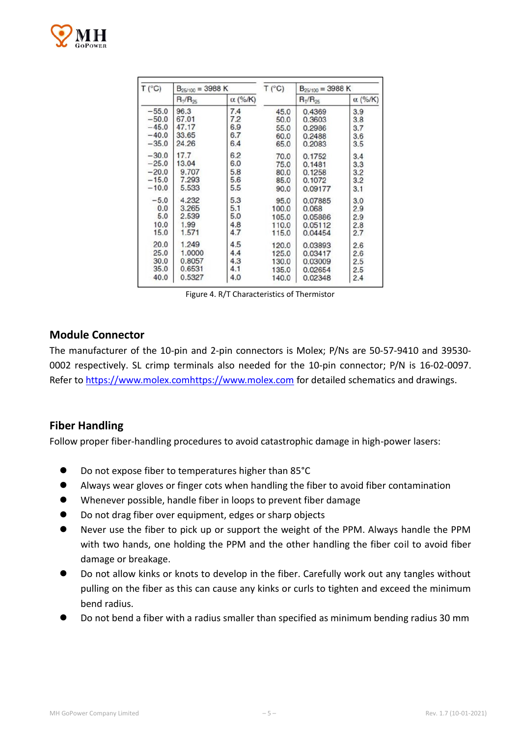

| T (°C)  | $B_{25/100} = 3988 K$ |                | T (°C) | $B_{25/100} = 3988 K$ |                |
|---------|-----------------------|----------------|--------|-----------------------|----------------|
|         | $R_T/R_{25}$          | $\alpha$ (%/K) |        | $R_T/R_{25}$          | $\alpha$ (%/K) |
| $-55.0$ | 96.3                  | 7.4            | 45.0   | 0.4369                | 3.9            |
| $-50.0$ | 67.01                 | 7.2            | 50,0   | 0.3603                | 3.8            |
| $-45.0$ | 47.17                 | 6.9            | 55.0   | 0.2986                | 3.7            |
| $-40.0$ | 33.65                 | 6.7            | 60.0   | 0.2488                | 3.6            |
| $-35.0$ | 24.26                 | 6.4            | 65.0   | 0.2083                | 3.5            |
| $-30.0$ | 17.7                  | 6.2            | 70.0   | 0.1752                | 3.4            |
| $-25.0$ | 13.04                 | 6.0            | 75.0   | 0.1481                | 3.3            |
| $-20.0$ | 9.707                 | 5.8            | 80.0   | 0.1258                | 3.2            |
| $-15.0$ | 7.293                 | 5.6            | 85.0   | 0.1072                | 3.2            |
| $-10.0$ | 5.533                 | 5.5            | 90.0   | 0.09177               | 3.1            |
| $-5.0$  | 4.232                 | 5.3            | 95.0   | 0.07885               | 3.0            |
| 0.0     | 3.265                 | 5.1            | 100.0  | 0.068                 | 2.9            |
| 5.0     | 2.539                 | 5.0            | 105.0  | 0.05886               | 2.9            |
| 10.0    | 1.99                  | 4.8            | 110.0  | 0.05112               | 2.8            |
| 15.0    | 1.571                 | 4.7            | 115.0  | 0.04454               | 2.7            |
| 20.0    | 1.249                 | 4.5            | 120.0  | 0.03893               | 2.6            |
| 25.0    | 1.0000                | 4.4            | 125.0  | 0.03417               | 2.6            |
| 30.0    | 0.8057                | 4.3            | 130.0  | 0.03009               | 2.5            |
| 35.0    | 0.6531                | 4.1            | 135.0  | 0.02654               | 2.5            |
| 40.0    | 0.5327                | 4.0            | 140.0  | 0.02348               | 2.4            |

Figure 4. R/T Characteristics of Thermistor

#### **Module Connector**

The manufacturer of the 10-pin and 2-pin connectors is Molex; P/Ns are 50-57-9410 and 39530- 0002 respectively. SL crimp terminals also needed for the 10-pin connector; P/N is 16-02-0097. Refer to [https://www.molex.comhttps://www.molex.com](https://www.molex.comhttps/www.molex.com) for detailed schematics and drawings.

#### **Fiber Handling**

Follow proper fiber-handling procedures to avoid catastrophic damage in high-power lasers:

- Do not expose fiber to temperatures higher than 85°C
- Always wear gloves or finger cots when handling the fiber to avoid fiber contamination
- Whenever possible, handle fiber in loops to prevent fiber damage
- Do not drag fiber over equipment, edges or sharp objects
- Never use the fiber to pick up or support the weight of the PPM. Always handle the PPM with two hands, one holding the PPM and the other handling the fiber coil to avoid fiber damage or breakage.
- Do not allow kinks or knots to develop in the fiber. Carefully work out any tangles without pulling on the fiber as this can cause any kinks or curls to tighten and exceed the minimum bend radius.
- Do not bend a fiber with a radius smaller than specified as minimum bending radius 30 mm